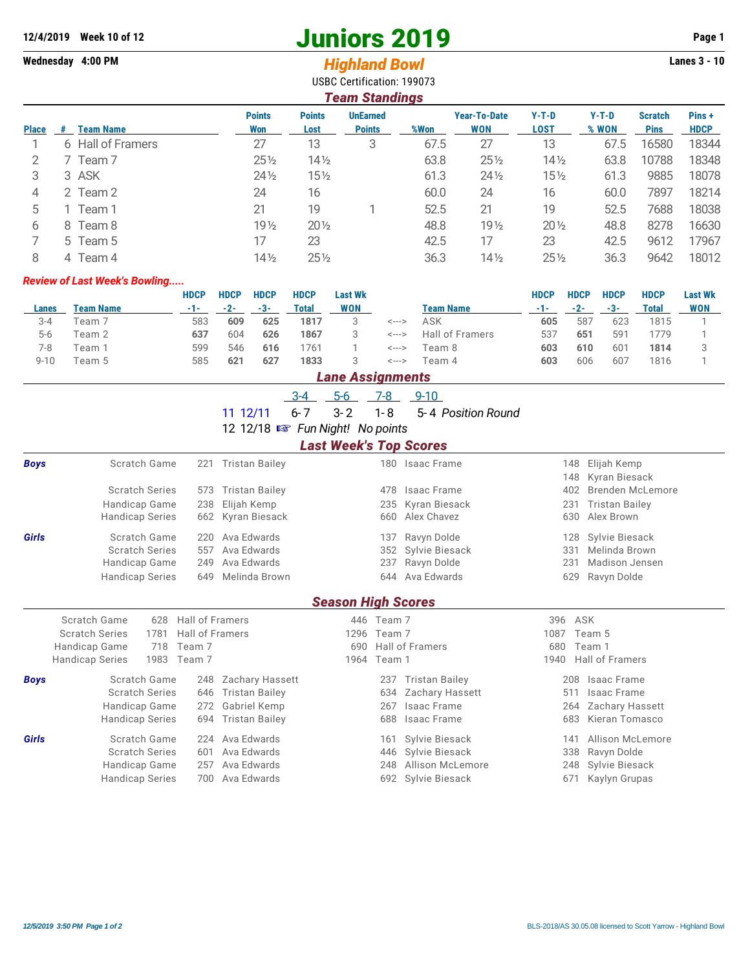# **12/4/2019** Week 10 of 12<br> **12/4/2019** Page 1<br> **14/4/2019** Page 1<br> **14/4/2019** Page 1<br> **14/4/2019** Page 1<br> **14/4/2019** Page 1<br> **14/4/2019** Page 1

USBC Certification: 199073

## Wednesday 4:00 PM *Highland Bowl*

| <b>Team Standings</b> |                       |                      |                       |                                  |      |                                   |                        |                  |                               |                       |  |  |
|-----------------------|-----------------------|----------------------|-----------------------|----------------------------------|------|-----------------------------------|------------------------|------------------|-------------------------------|-----------------------|--|--|
| <b>Place</b>          | <b>Team Name</b><br># | <b>Points</b><br>Won | <b>Points</b><br>Lost | <b>UnEarned</b><br><b>Points</b> | %Won | <b>Year-To-Date</b><br><b>WON</b> | $Y-T-D$<br><b>LOST</b> | $Y-T-D$<br>% WON | <b>Scratch</b><br><b>Pins</b> | Pins +<br><b>HDCP</b> |  |  |
|                       | 6 Hall of Framers     | 27                   | 13                    | 3                                | 67.5 | 27                                | 13                     | 67.5             | 16580                         | 18344                 |  |  |
| 2                     | 7 Team 7              | $25\frac{1}{2}$      | $14\frac{1}{2}$       |                                  | 63.8 | $25\%$                            | $14\frac{1}{2}$        | 63.8             | 10788                         | 18348                 |  |  |
| 3                     | 3 ASK                 | $24\frac{1}{2}$      | $15\frac{1}{2}$       |                                  | 61.3 | $24\frac{1}{2}$                   | $15\frac{1}{2}$        | 61.3             | 9885                          | 18078                 |  |  |
| 4                     | 2 Team 2              | 24                   | 16                    |                                  | 60.0 | 24                                | 16                     | 60.0             | 7897                          | 18214                 |  |  |
| 5                     | Team 1                | 21                   | 19                    |                                  | 52.5 | 21                                | 19                     | 52.5             | 7688                          | 18038                 |  |  |
| 6                     | 8 Team 8              | 19 <sub>2</sub>      | $20\frac{1}{2}$       |                                  | 48.8 | 19 <sub>2</sub>                   | $20\frac{1}{2}$        | 48.8             | 8278                          | 16630                 |  |  |
|                       | 5 Team 5              | 17                   | 23                    |                                  | 42.5 | 17                                | 23                     | 42.5             | 9612                          | 17967                 |  |  |
| 8                     | 4 Team 4              | $14\frac{1}{2}$      | $25\frac{1}{2}$       |                                  | 36.3 | $14\frac{1}{2}$                   | $25\%$                 | 36.3             | 9642                          | 18012                 |  |  |

#### *Review of Last Week's Bowling.....*

|          |                  | <b>HDCP</b> | <b>HDCP</b> | <b>HDCP</b> | <b>HDCP</b> | <b>Last Wk</b> |       |                  | <b>HDCP</b> | <b>HDCP</b> | <b>HDCP</b> | <b>HDCP</b>  | <b>Last Wk</b> |
|----------|------------------|-------------|-------------|-------------|-------------|----------------|-------|------------------|-------------|-------------|-------------|--------------|----------------|
| Lanes    | <b>Team Name</b> | -1-1        | $-2-$       | $-3-$       | Total       | <b>WON</b>     |       | <b>Team Name</b> | -1-1        | $-2-$       | $-3-7$      | <b>Total</b> | <b>WON</b>     |
| $3 - 4$  | Team 7           | 583         | 609         | 625         | 1817        |                | <---> | ASK              | 605         | 587         | 623         | 1815         |                |
| $5-6$    | Team 2           | 637         | 604         | 626         | 1867        |                | <---> | Hall of Framers  | 537         | 651         | 591         | 1779         |                |
| 7-8      | Team 1           | 599         | 546         | 616         | 761         |                | <---> | Team 8           | 603         | 610         | 601         | 1814         |                |
| $9 - 10$ | Team 5           | 585         | 621         | 627         | 1833        | 3              | <---> | Team 4           | 603         | 606         | 607         | 1816         |                |
|          |                  |             |             |             |             |                |       |                  |             |             |             |              |                |

### *Lane Assignments*

|  |  | 5-6 7-8 9-10 |                                         |
|--|--|--------------|-----------------------------------------|
|  |  |              | 11 12/11 6-7 3-2 1-8 5-4 Position Round |

12 12/18  $\mathbb{R}$  Fun Night! No points

## *Last Week's Top Scores*

| <b>Boys</b>  | Scratch Game                                            | Tristan Bailey<br>221        |                           | 180 Isaac Frame        | 148<br>148 | Elijah Kemp<br>Kyran Biesack |  |  |
|--------------|---------------------------------------------------------|------------------------------|---------------------------|------------------------|------------|------------------------------|--|--|
|              | <b>Scratch Series</b>                                   | <b>Tristan Bailey</b><br>573 | 478                       | Isaac Frame            | 402        | Brenden McLemore             |  |  |
|              | Handicap Game                                           | Elijah Kemp<br>238           |                           | 235 Kyran Biesack      | 231        | Tristan Bailey               |  |  |
|              | <b>Handicap Series</b>                                  | 662<br>Kyran Biesack         |                           | 660 Alex Chavez        | 630        | Alex Brown                   |  |  |
| <b>Girls</b> | Scratch Game                                            | Ava Edwards<br>220           | 137                       | Ravyn Dolde            | 128        | Sylvie Biesack               |  |  |
|              | <b>Scratch Series</b>                                   | Ava Edwards<br>557           |                           | 352 Sylvie Biesack     | 331        | Melinda Brown                |  |  |
|              | Handicap Game                                           | Ava Edwards<br>249           | 237                       | Ravyn Dolde            | 231        | Madison Jensen               |  |  |
|              | <b>Handicap Series</b>                                  | 649<br>Melinda Brown         |                           | 644 Ava Edwards        | 629        | Ravyn Dolde                  |  |  |
|              |                                                         |                              | <b>Season High Scores</b> |                        |            |                              |  |  |
|              | Scratch Game<br>628                                     | Hall of Framers              | 446 Team 7                |                        | 396        | ASK                          |  |  |
|              | <b>Hall of Framers</b><br><b>Scratch Series</b><br>1781 |                              | 1296                      | Team 7                 | 1087       | Team 5                       |  |  |
|              | Team 7<br>Handicap Game<br>718                          |                              | 690                       | <b>Hall of Framers</b> | 680        | Team 1                       |  |  |
|              | 1983<br><b>Handicap Series</b>                          | Team 7                       | 1964                      | Team 1                 |            | Hall of Framers              |  |  |
| <b>Boys</b>  | Scratch Game                                            | Zachary Hassett<br>248       | 237                       | <b>Tristan Bailey</b>  | 208        | Isaac Frame                  |  |  |
|              | <b>Scratch Series</b>                                   | <b>Tristan Bailey</b><br>646 | 634                       | Zachary Hassett        | 511        | Isaac Frame                  |  |  |
|              | Handicap Game                                           | 272<br>Gabriel Kemp          | 267                       | Isaac Frame            | 264        | Zachary Hassett              |  |  |
|              | <b>Handicap Series</b>                                  | Tristan Bailey<br>694        | 688                       | Isaac Frame            | 683        | Kieran Tomasco               |  |  |
| Girls        | Scratch Game                                            | Ava Edwards<br>224           | 161                       | Sylvie Biesack         | 141        | Allison McLemore             |  |  |
|              | <b>Scratch Series</b>                                   | Ava Edwards<br>601           | 446                       | Sylvie Biesack         | 338        | Ravyn Dolde                  |  |  |
|              | Handicap Game                                           | Ava Edwards<br>257           | 248                       | Allison McLemore       | 248        | Sylvie Biesack               |  |  |
|              | <b>Handicap Series</b>                                  | Ava Edwards<br>700           |                           | 692 Sylvie Biesack     | 671        | Kaylyn Grupas                |  |  |